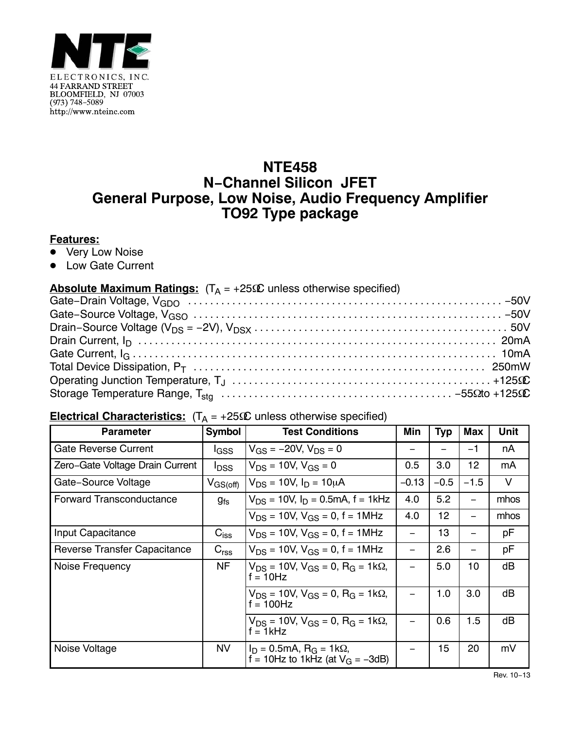

## **NTE458 N−Channel Silicon JFET General Purpose, Low Noise, Audio Frequency Amplifier TO92 Type package**

## **Features:**

- <u>■ Very Low Noise</u>
- $\bullet$ Low Gate Current

## ● Low Gate Current<br><mark>Absolute Maximum Ratings:</mark> (T<sub>A</sub> = +25Ω unless otherwise specified)

## **Electrical Characteristics:** (TA = +25-C unless otherwise specified)

| <b>Parameter</b>                    | Symbol                  | <b>Test Conditions</b>                                                               | Min     | <b>Typ</b> | Max                      | <b>Unit</b> |
|-------------------------------------|-------------------------|--------------------------------------------------------------------------------------|---------|------------|--------------------------|-------------|
| <b>Gate Reverse Current</b>         | <b>I</b> GSS            | $V_{GS} = -20V$ , $V_{DS} = 0$                                                       |         |            | $-1$                     | nA          |
| Zero-Gate Voltage Drain Current     | <b>I</b> <sub>DSS</sub> | $V_{DS}$ = 10V, $V_{GS}$ = 0                                                         | 0.5     | 3.0        | 12                       | mA          |
| Gate-Source Voltage                 | $V_{\rm GS (off)}$      | $V_{DS}$ = 10V, $I_D$ = 10µA                                                         | $-0.13$ | $-0.5$     | $-1.5$                   | V           |
| <b>Forward Transconductance</b>     | $g_{fs}$                | $V_{DS}$ = 10V, $I_D$ = 0.5mA, f = 1kHz                                              | 4.0     | 5.2        |                          | mhos        |
|                                     |                         | $V_{DS}$ = 10V, $V_{GS}$ = 0, f = 1MHz                                               | 4.0     | 12         | $\overline{\phantom{0}}$ | mhos        |
| Input Capacitance                   | $C_{iss}$               | $V_{DS}$ = 10V, $V_{GS}$ = 0, f = 1MHz                                               |         | 13         |                          | рF          |
| <b>Reverse Transfer Capacitance</b> | $C_{\text{rss}}$        | $V_{DS}$ = 10V, $V_{GS}$ = 0, f = 1MHz                                               | -       | 2.6        | $\overline{\phantom{0}}$ | рF          |
| Noise Frequency                     | <b>NF</b>               | $V_{DS}$ = 10V, $V_{GS}$ = 0, R <sub>G</sub> = 1k $\Omega$ ,<br>$f = 10$ Hz          |         | 5.0        | 10                       | dB          |
|                                     |                         | $V_{DS}$ = 10V, V <sub>GS</sub> = 0, R <sub>G</sub> = 1kΩ,<br>$f = 100$ Hz           |         | 1.0        | 3.0                      | dB          |
|                                     |                         | $V_{DS}$ = 10V, V <sub>GS</sub> = 0, R <sub>G</sub> = 1kΩ,<br>$f = 1kHz$             |         | 0.6        | 1.5                      | dB          |
| Noise Voltage                       | <b>NV</b>               | $I_D = 0.5 \text{mA}, R_G = 1 \text{k}\Omega,$<br>f = 10Hz to 1kHz (at $V_G$ = -3dB) |         | 15         | 20                       | mV          |